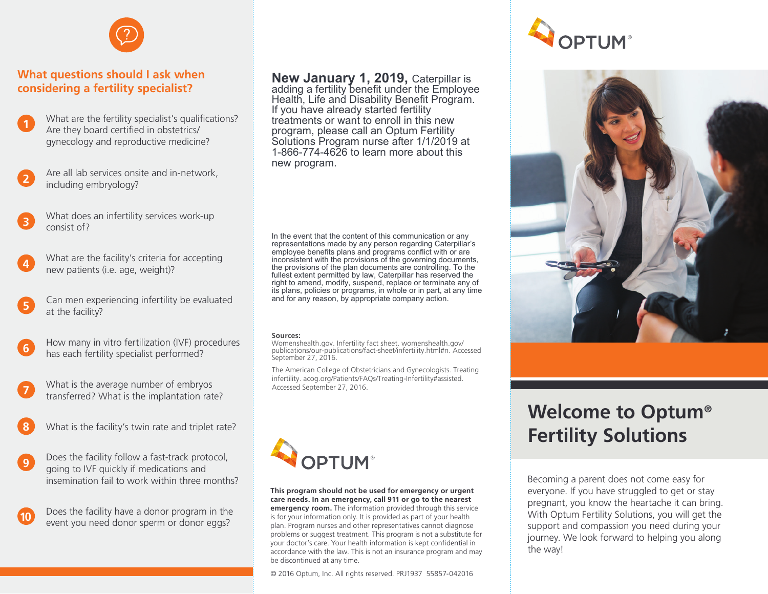

### **What questions should I ask when considering a fertility specialist?**

- What are the fertility specialist's qualifications? Are they board certified in obstetrics/ gynecology and reproductive medicine? **1**
- Are all lab services onsite and in-network, including embryology? **2**
- What does an infertility services work-up consist of?
- What are the facility's criteria for accepting new patients (i.e. age, weight)? **4**
- Can men experiencing infertility be evaluated at the facility? **5**
- How many in vitro fertilization (IVF) procedures has each fertility specialist performed? **6**
- What is the average number of embryos transferred? What is the implantation rate? **7**
- **8** What is the facility's twin rate and triplet rate?
- Does the facility follow a fast-track protocol, going to IVF quickly if medications and insemination fail to work within three months? **9**
	- Does the facility have a donor program in the event you need donor sperm or donor eggs?

**New January 1, 2019,** Caterpillar is

adding a fertility benefit under the Employee Health, Life and Disability Benefit Program. If you have already started fertility treatments or want to enroll in this new program, please call an Optum Fertility Solutions Program nurse after 1/1/2019 at 1-866-774-4626 to learn more about this new program.

In the event that the content of this communication or any representations made by any person regarding Caterpillar's employee benefits plans and programs conflict with or are inconsistent with the provisions of the governing documents, the provisions of the plan documents are controlling. To the fullest extent permitted by law, Caterpillar has reserved the right to amend, modify, suspend, replace or terminate any of its plans, policies or programs, in whole or in part, at any time and for any reason, by appropriate company action.

#### **Sources:**

Womenshealth.gov. Infertility fact sheet. womenshealth.gov/ publications/our-publications/fact-sheet/infertility.html#n. Accessed September 27, 2016.

The American College of Obstetricians and Gynecologists. Treating infertility. acog.org/Patients/FAQs/Treating-Infertility#assisted. Accessed September 27, 2016.



### **This program should not be used for emergency or urgent care needs. In an emergency, call 911 or go to the nearest**

**emergency room.** The information provided through this service is for your information only. It is provided as part of your health plan. Program nurses and other representatives cannot diagnose problems or suggest treatment. This program is not a substitute for your doctor's care. Your health information is kept confidential in accordance with the law. This is not an insurance program and may be discontinued at any time.

© 2016 Optum, Inc. All rights reserved. PRJ1937 55857-042016





# **Welcome to Optum® Fertility Solutions**

Becoming a parent does not come easy for everyone. If you have struggled to get or stay pregnant, you know the heartache it can bring. With Optum Fertility Solutions, you will get the support and compassion you need during your journey. We look forward to helping you along the way!